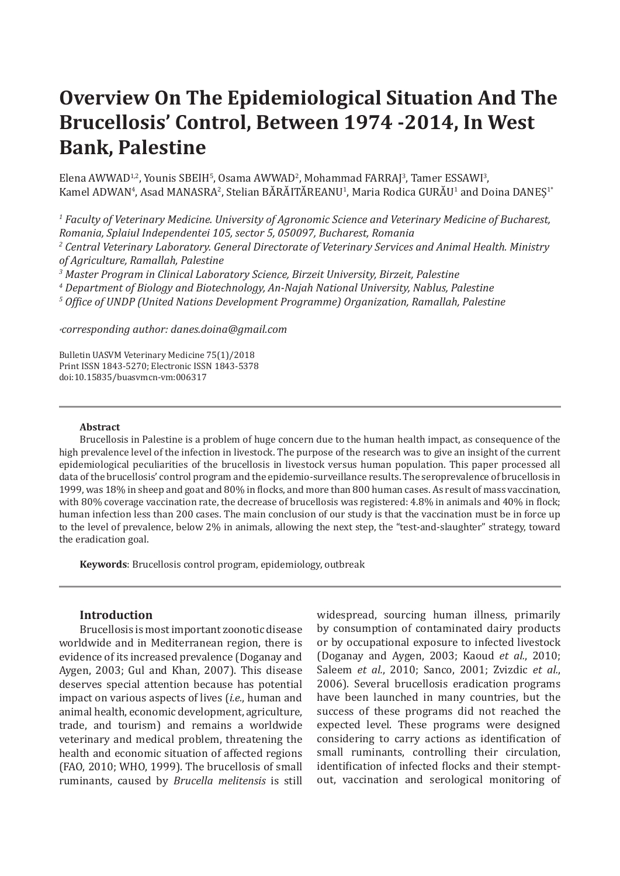# **Overview On The Epidemiological Situation And The Brucellosis' Control, Between 1974 -2014, In West Bank, Palestine**

Elena AWWAD12, Younis SBEIH5, Osama AWWAD2, Mohammad FARRAJ3, Tamer ESSAWI3, Kamel ADWAN<sup>4</sup>, Asad MANASRA<sup>2</sup>, Stelian BARAITAREANU<sup>1</sup>, Maria Rodica GURAU<sup>1</sup> and Doina DANEȘ<sup>1</sup>'

*1 Faculty of Veterinary Medicine. University of Agronomic Science and Veterinary Medicine of Bucharest, Romania, Splaiul Independentei 105, sector 5, 050097, Bucharest, Romania*

*2 Central Veterinary Laboratory. General Directorate of Veterinary Services and Animal Health. Ministry of Agriculture, Ramallah, Palestine*

*3 Master Program in Clinical Laboratory Science, Birzeit University, Birzeit, Palestine*

*4 Department of Biology and Biotechnology, An-Najah National University, Nablus, Palestine*

*5 Office of UNDP (United Nations Development Programme) Organization, Ramallah, Palestine*

*\*corresponding author: danes.doina@gmail.com*

Bulletin UASVM Veterinary Medicine 75(1)/2018 Print ISSN 1843-5270; Electronic ISSN 1843-5378 doi:10.15835/buasvmcn-vm:006317

#### **Abstract**

Brucellosis in Palestine is a problem of huge concern due to the human health impact, as consequence of the high prevalence level of the infection in livestock. The purpose of the research was to give an insight of the current epidemiological peculiarities of the brucellosis in livestock versus human population. This paper processed all data of the brucellosis' control program and the epidemio-surveillance results. The seroprevalence of brucellosis in 1999, was 18% in sheep and goat and 80% in flocks, and more than 800 human cases. As result of mass vaccination, with 80% coverage vaccination rate, the decrease of brucellosis was registered: 4.8% in animals and 40% in flock; human infection less than 200 cases. The main conclusion of our study is that the vaccination must be in force up to the level of prevalence, below 2% in animals, allowing the next step, the "test-and-slaughter" strategy, toward the eradication goal.

**Keywords**: Brucellosis control program, epidemiology, outbreak

### **Introduction**

Brucellosis is mostimportant zoonotic disease worldwide and in Mediterranean region, there is evidence of its increased prevalence (Doganay and Aygen, 2003; Gul and Khan, 2007). This disease deserves special attention because has potential impact on various aspects of lives (*i.e.*, human and animal health, economic development, agriculture, trade, and tourism) and remains a worldwide veterinary and medical problem, threatening the health and economic situation of affected regions (FAO, 2010; WHO, 1999). The brucellosis of small ruminants, caused by *Brucella melitensis* is still

widespread, sourcing human illness, primarily by consumption of contaminated dairy products or by occupational exposure to infected livestock (Doganay and Aygen, 2003; Kaoud *et al.*, 2010; Saleem *et al.*, 2010; Sanco, 2001; Zvizdic *et al.*, 2006). Several brucellosis eradication programs have been launched in many countries, but the success of these programs did not reached the expected level. These programs were designed considering to carry actions as identification of small ruminants, controlling their circulation, identification of infected flocks and their stemptout, vaccination and serological monitoring of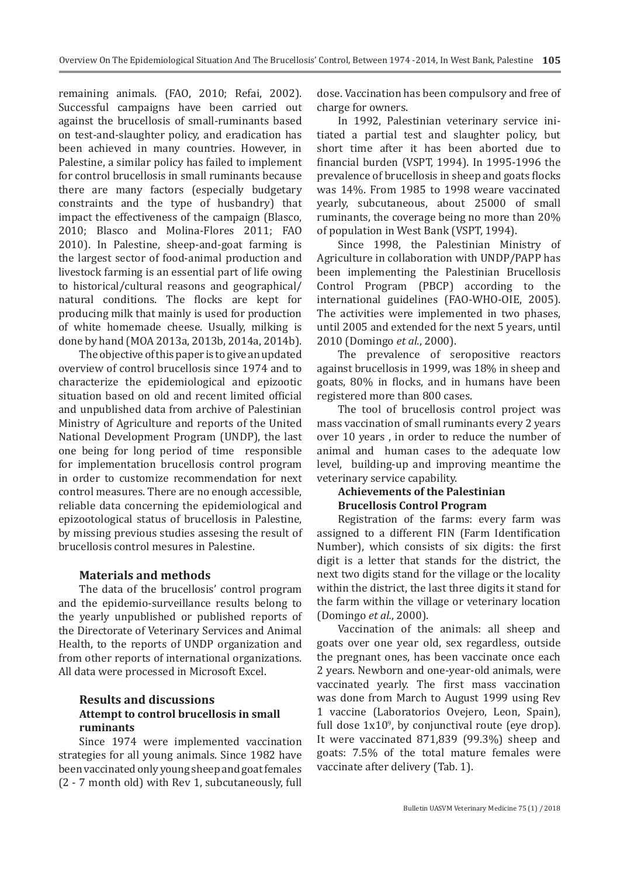remaining animals. (FAO, 2010; Refai, 2002). Successful campaigns have been carried out against the brucellosis of small-ruminants based on test-and-slaughter policy, and eradication has been achieved in many countries. However, in Palestine, a similar policy has failed to implement for control brucellosis in small ruminants because there are many factors (especially budgetary constraints and the type of husbandry) that impact the effectiveness of the campaign (Blasco, 2010; Blasco and Molina-Flores 2011; FAO 2010). In Palestine, sheep-and-goat farming is the largest sector of food-animal production and livestock farming is an essential part of life owing to historical/cultural reasons and geographical/ natural conditions. The flocks are kept for producing milk that mainly is used for production of white homemade cheese. Usually, milking is done by hand (MOA 2013a, 2013b, 2014a, 2014b).

The objective of this paper is to give an updated overview of control brucellosis since 1974 and to characterize the epidemiological and epizootic situation based on old and recent limited official and unpublished data from archive of Palestinian Ministry of Agriculture and reports of the United National Development Program (UNDP), the last one being for long period of time responsible for implementation brucellosis control program in order to customize recommendation for next control measures. There are no enough accessible, reliable data concerning the epidemiological and epizootological status of brucellosis in Palestine, by missing previous studies assesing the result of brucellosis control mesures in Palestine.

## **Materials and methods**

The data of the brucellosis' control program and the epidemio-surveillance results belong to the yearly unpublished or published reports of the Directorate of Veterinary Services and Animal Health, to the reports of UNDP organization and from other reports of international organizations. All data were processed in Microsoft Excel.

# **Results and discussions Attempt to control brucellosis in small ruminants**

Since 1974 were implemented vaccination strategies for all young animals. Since 1982 have beenvaccinatedonly young sheepandgoatfemales (2 - 7 month old) with Rev 1, subcutaneously, full dose. Vaccination has been compulsory and free of charge for owners.

In 1992, Palestinian veterinary service initiated a partial test and slaughter policy, but short time after it has been aborted due to financial burden (VSPT, 1994). In 1995-1996 the prevalence of brucellosis in sheep and goats flocks was 14%. From 1985 to 1998 weare vaccinated yearly, subcutaneous, about 25000 of small ruminants, the coverage being no more than 20% of population in West Bank (VSPT, 1994).

Since 1998, the Palestinian Ministry of Agriculture in collaboration with UNDP/PAPP has been implementing the Palestinian Brucellosis Control Program (PBCP) according to the international guidelines (FAO-WHO-OIE, 2005). The activities were implemented in two phases, until 2005 and extended for the next 5 years, until 2010 (Domingo *et al.*, 2000).

The prevalence of seropositive reactors against brucellosis in 1999, was 18% in sheep and goats, 80% in flocks, and in humans have been registered more than 800 cases.

The tool of brucellosis control project was mass vaccination of small ruminants every 2 years over 10 years , in order to reduce the number of animal and human cases to the adequate low level, building-up and improving meantime the veterinary service capability.

# **Achievements of the Palestinian Brucellosis Control Program**

Registration of the farms: every farm was assigned to a different FIN (Farm Identification Number), which consists of six digits: the first digit is a letter that stands for the district, the next two digits stand for the village or the locality within the district, the last three digits it stand for the farm within the village or veterinary location (Domingo *et al.*, 2000).

Vaccination of the animals: all sheep and goats over one year old, sex regardless, outside the pregnant ones, has been vaccinate once each 2 years. Newborn and one-year-old animals, were vaccinated yearly. The first mass vaccination was done from March to August 1999 using Rev 1 vaccine (Laboratorios Ovejero, Leon, Spain), full dose  $1x10<sup>9</sup>$ , by conjunctival route (eye drop). It were vaccinated 871,839 (99.3%) sheep and goats: 7.5% of the total mature females were vaccinate after delivery (Tab. 1).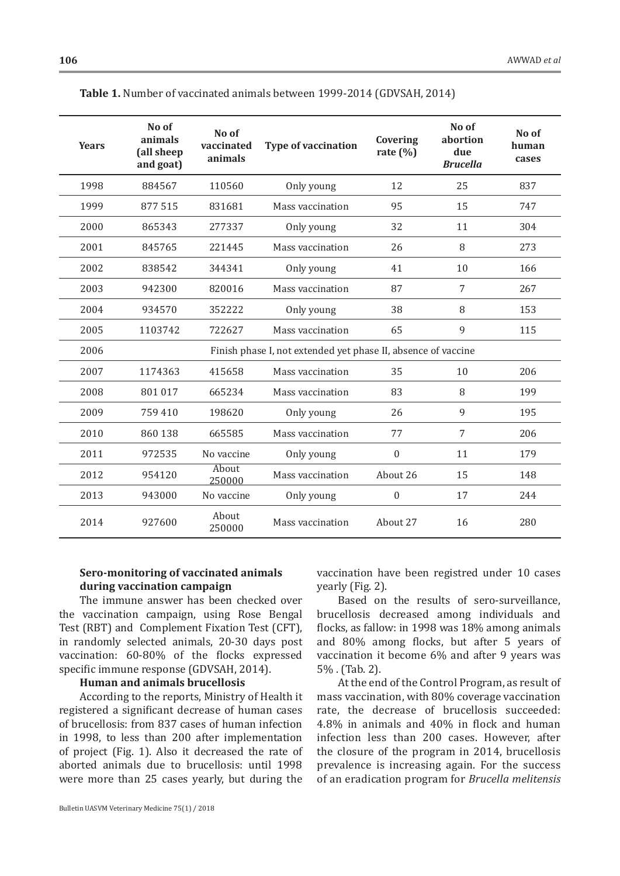| <b>Years</b> | No of<br>animals<br>(all sheep<br>and goat)                   | No of<br>vaccinated<br>animals | <b>Type of vaccination</b> | Covering<br>rate $(\%)$ | No of<br>abortion<br>due<br><b>Brucella</b> | No of<br>human<br>cases |  |  |  |
|--------------|---------------------------------------------------------------|--------------------------------|----------------------------|-------------------------|---------------------------------------------|-------------------------|--|--|--|
| 1998         | 884567                                                        | 110560                         | Only young                 | 12                      | 25                                          | 837                     |  |  |  |
| 1999         | 877515                                                        | 831681                         | Mass vaccination           | 95                      | 15                                          | 747                     |  |  |  |
| 2000         | 865343                                                        | 277337                         | Only young                 | 32                      | 11                                          | 304                     |  |  |  |
| 2001         | 845765                                                        | 221445                         | Mass vaccination           | 26                      | 8                                           | 273                     |  |  |  |
| 2002         | 838542                                                        | 344341                         | Only young                 | 41                      | 10                                          | 166                     |  |  |  |
| 2003         | 942300                                                        | 820016                         | Mass vaccination           | 87                      | 7                                           | 267                     |  |  |  |
| 2004         | 934570                                                        | 352222                         | Only young                 | 38                      | 8                                           | 153                     |  |  |  |
| 2005         | 1103742                                                       | 722627                         | 65<br>Mass vaccination     |                         | 9                                           | 115                     |  |  |  |
| 2006         | Finish phase I, not extended yet phase II, absence of vaccine |                                |                            |                         |                                             |                         |  |  |  |
| 2007         | 1174363                                                       | 415658                         | Mass vaccination<br>35     |                         | 10                                          | 206                     |  |  |  |
| 2008         | 801 017                                                       | 665234                         | Mass vaccination           | 83                      | 8                                           | 199                     |  |  |  |
| 2009         | 759 410                                                       | 198620                         | Only young                 | 26                      | 9                                           | 195                     |  |  |  |
| 2010         | 860 138                                                       | 665585                         | Mass vaccination           | 77                      | 7                                           | 206                     |  |  |  |
| 2011         | 972535                                                        | No vaccine                     | Only young                 | $\mathbf{0}$            | 11                                          | 179                     |  |  |  |
| 2012         | 954120                                                        | About<br>250000                | Mass vaccination           | About 26                | 15                                          | 148                     |  |  |  |
| 2013         | 943000                                                        | No vaccine                     | Only young                 | $\boldsymbol{0}$        | 17                                          | 244                     |  |  |  |
| 2014         | 927600                                                        | About<br>250000                | Mass vaccination           | About 27                |                                             | 280                     |  |  |  |

**Table 1.** Number of vaccinated animals between 1999-2014 (GDVSAH, 2014)

## **Sero-monitoring of vaccinated animals during vaccination campaign**

The immune answer has been checked over the vaccination campaign, using Rose Bengal Test (RBT) and Complement Fixation Test (CFT), in randomly selected animals, 20-30 days post vaccination: 60-80% of the flocks expressed specific immune response (GDVSAH, 2014).

## **Human and animals brucellosis**

According to the reports, Ministry of Health it registered a significant decrease of human cases of brucellosis: from 837 cases of human infection in 1998, to less than 200 after implementation of project (Fig. 1). Also it decreased the rate of aborted animals due to brucellosis: until 1998 were more than 25 cases yearly, but during the

Bulletin UASVM Veterinary Medicine 75(1) / 2018

vaccination have been registred under 10 cases yearly (Fig. 2).

Based on the results of sero-surveillance, brucellosis decreased among individuals and flocks, as fallow: in 1998 was 18% among animals and 80% among flocks, but after 5 years of vaccination it become 6% and after 9 years was 5% . (Tab. 2).

At the end of the Control Program, as result of mass vaccination, with 80% coverage vaccination rate, the decrease of brucellosis succeeded: 4.8% in animals and 40% in flock and human infection less than 200 cases. However, after the closure of the program in 2014, brucellosis prevalence is increasing again. For the success of an eradication program for *Brucella melitensis*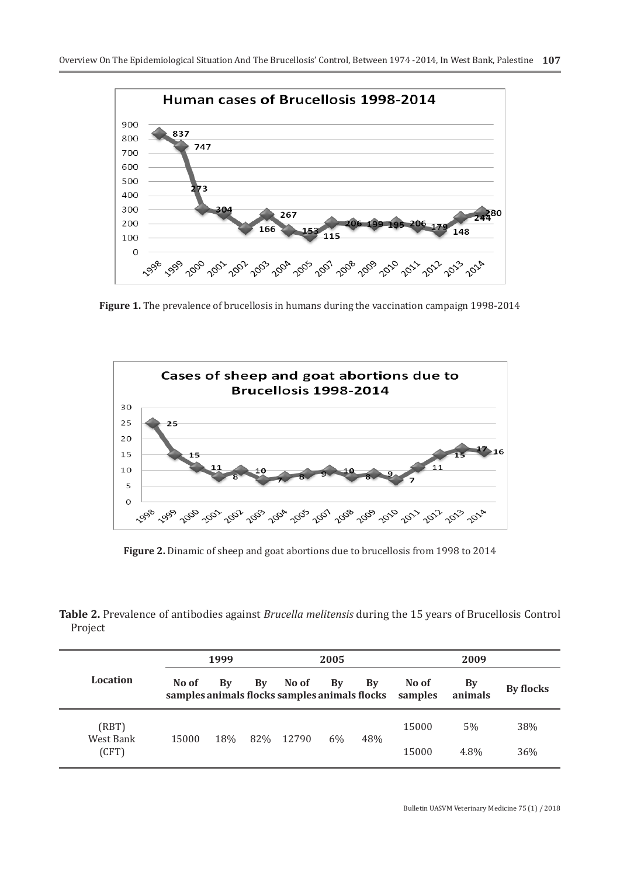

**Figure 1.** The prevalence of brucellosis in humans during the vaccination campaign 1998-2014



**Figure 2.** Dinamic of sheep and goat abortions due to brucellosis from 1998 to 2014

**Table 2.** Prevalence of antibodies against *Brucella melitensis* during the 15 years of Brucellosis Control Project

|                    |                                                        | 1999       |    |       | 2005  |     | 2009             |                      |           |
|--------------------|--------------------------------------------------------|------------|----|-------|-------|-----|------------------|----------------------|-----------|
| Location           | No of<br>samples animals flocks samples animals flocks | Bv         | By | No of | By    | By  | No of<br>samples | <b>By</b><br>animals | By flocks |
| (RBT)<br>West Bank | 15000                                                  | 18%<br>82% |    | 12790 | $6\%$ | 48% | 15000            | 5%                   | 38%       |
| (CFT)              |                                                        |            |    |       |       |     | 15000            | 4.8%                 | 36%       |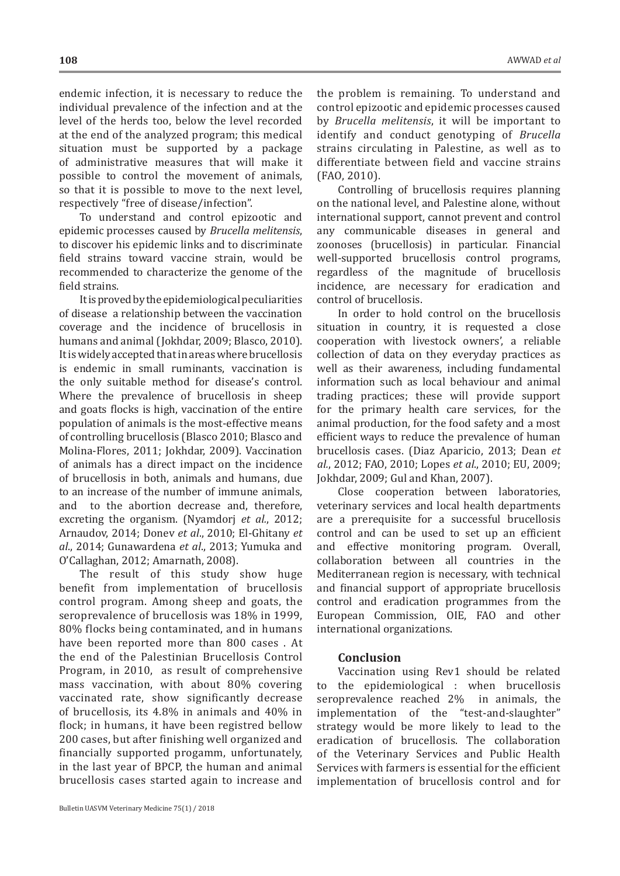endemic infection, it is necessary to reduce the individual prevalence of the infection and at the level of the herds too, below the level recorded at the end of the analyzed program; this medical situation must be supported by a package of administrative measures that will make it possible to control the movement of animals, so that it is possible to move to the next level, respectively "free of disease/infection".

To understand and control epizootic and epidemic processes caused by *Brucella melitensis*, to discover his epidemic links and to discriminate field strains toward vaccine strain, would be recommended to characterize the genome of the field strains.

Itisprovedbytheepidemiologicalpeculiarities of disease a relationship between the vaccination coverage and the incidence of brucellosis in humans and animal (Jokhdar, 2009; Blasco, 2010). It is widely accepted that in areas where brucellosis is endemic in small ruminants, vaccination is the only suitable method for disease's control. Where the prevalence of brucellosis in sheep and goats flocks is high, vaccination of the entire population of animals is the most-effective means of controlling brucellosis (Blasco 2010; Blasco and Molina-Flores, 2011; Jokhdar, 2009). Vaccination of animals has a direct impact on the incidence of brucellosis in both, animals and humans, due to an increase of the number of immune animals, and to the abortion decrease and, therefore, excreting the organism. (Nyamdorj *et al.*, 2012; Arnaudov, 2014; Donev *et al*., 2010; El-Ghitany *et al*., 2014; Gunawardena *et al*., 2013; Yumuka and O'Callaghan, 2012; Amarnath, 2008).

The result of this study show huge benefit from implementation of brucellosis control program. Among sheep and goats, the seroprevalence of brucellosis was 18% in 1999, 80% flocks being contaminated, and in humans have been reported more than 800 cases . At the end of the Palestinian Brucellosis Control Program, in 2010, as result of comprehensive mass vaccination, with about 80% covering vaccinated rate, show significantly decrease of brucellosis, its 4.8% in animals and 40% in flock; in humans, it have been registred bellow 200 cases, but after finishing well organized and financially supported progamm, unfortunately, in the last year of BPCP, the human and animal brucellosis cases started again to increase and

the problem is remaining. To understand and control epizootic and epidemic processes caused by *Brucella melitensis*, it will be important to identify and conduct genotyping of *Brucella* strains circulating in Palestine, as well as to differentiate between field and vaccine strains (FAO, 2010).

Controlling of brucellosis requires planning on the national level, and Palestine alone, without international support, cannot prevent and control any communicable diseases in general and zoonoses (brucellosis) in particular. Financial well-supported brucellosis control programs, regardless of the magnitude of brucellosis incidence, are necessary for eradication and control of brucellosis.

In order to hold control on the brucellosis situation in country, it is requested a close cooperation with livestock owners', a reliable collection of data on they everyday practices as well as their awareness, including fundamental information such as local behaviour and animal trading practices; these will provide support for the primary health care services, for the animal production, for the food safety and a most efficient ways to reduce the prevalence of human brucellosis cases. (Diaz Aparicio, 2013; Dean *et al.*, 2012; FAO, 2010; Lopes *et al*., 2010; EU, 2009; Jokhdar, 2009; Gul and Khan, 2007).

Close cooperation between laboratories, veterinary services and local health departments are a prerequisite for a successful brucellosis control and can be used to set up an efficient and effective monitoring program. Overall, collaboration between all countries in the Mediterranean region is necessary, with technical and financial support of appropriate brucellosis control and eradication programmes from the European Commission, OIE, FAO and other international organizations.

## **Conclusion**

Vaccination using Rev1 should be related the epidemiological : when brucellosis seroprevalence reached 2% in animals, the implementation of the "test-and-slaughter" strategy would be more likely to lead to the eradication of brucellosis. The collaboration of the Veterinary Services and Public Health Services with farmers is essential for the efficient implementation of brucellosis control and for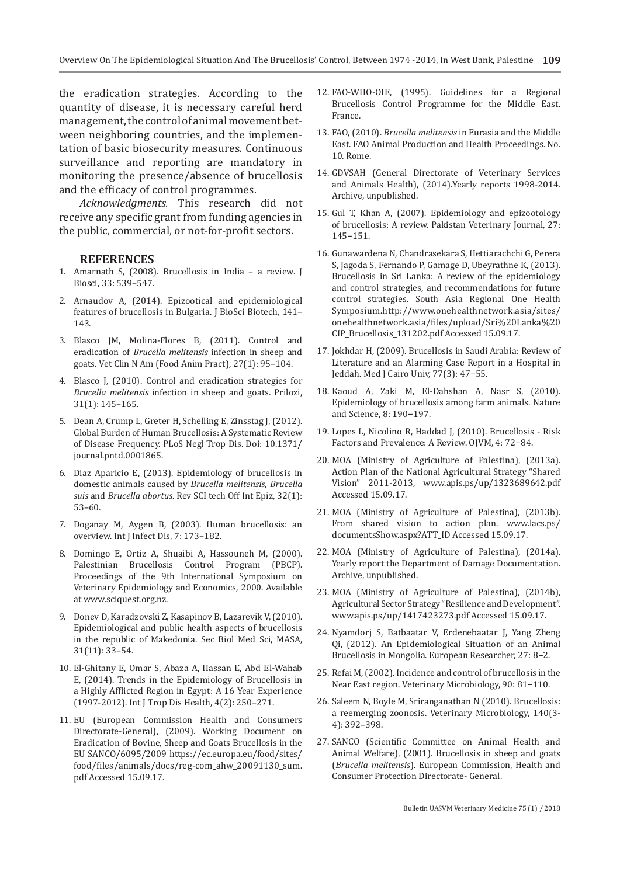the eradication strategies. According to the quantity of disease, it is necessary careful herd management, the control of animal movement between neighboring countries, and the implementation of basic biosecurity measures. Continuous surveillance and reporting are mandatory in monitoring the presence/absence of brucellosis and the efficacy of control programmes.

*Acknowledgments.* This research did not receive any specific grant from funding agencies in the public, commercial, or not-for-profit sectors.

#### **REFERENCES**

- 1. Amarnath S, (2008). Brucellosis in India a review. J Biosci, 33: 539–547.
- 2. Arnaudov A, (2014). Epizootical and epidemiological features of brucellosis in Bulgaria. J BioSci Biotech, 141– 143.
- 3. Blasco JM, Molina-Flores B, (2011). Control and eradication of *Brucella melitensis* infection in sheep and goats. Vet Clin N Am (Food Anim Pract), 27(1): 95–104.
- 4. Blasco J, (2010). Control and eradication strategies for *Brucella melitensis* infection in sheep and goats. Prilozi, 31(1): 145–165.
- 5. Dean A, Crump L, Greter H, Schelling E, Zinsstag J, (2012). Global Burden of Human Brucellosis: A Systematic Review of Disease Frequency. PLoS Negl Trop Dis. Doi: 10.1371/ journal.pntd.0001865.
- 6. Diaz Aparicio E, (2013). Epidemiology of brucellosis in domestic animals caused by *Brucella melitensis*, *Brucella suis* and *Brucella abortus*. Rev SCI tech Off Int Epiz, 32(1): 53–60.
- 7. Doganay M, Aygen B, (2003). Human brucellosis: an overview. Int J Infect Dis, 7: 173–182.
- 8. Domingo E, Ortiz A, Shuaibi A, Hassouneh M, (2000). Palestinian Brucellosis Control Program (PBCP). Proceedings of the 9th International Symposium on Veterinary Epidemiology and Economics, 2000. Available at www.sciquest.org.nz.
- 9. Donev D, Karadzovski Z, Kasapinov B, Lazarevik V, (2010). Epidemiological and public health aspects of brucellosis in the republic of Makedonia. Sec Biol Med Sci, MASA, 31(11): 33–54.
- 10. El-Ghitany E, Omar S, Abaza A, Hassan E, Abd El-Wahab E, (2014). Trends in the Epidemiology of Brucellosis in a Highly Afflicted Region in Egypt: A 16 Year Experience (1997-2012). Int J Trop Dis Health, 4(2): 250–271.
- 11. EU (European Commission Health and Consumers Directorate-General), (2009). Working Document on Eradication of Bovine, Sheep and Goats Brucellosis in the EU SANCO/6095/2009 https://ec.europa.eu/food/sites/ food/files/animals/docs/reg-com\_ahw\_20091130\_sum. pdf Accessed 15.09.17.
- 12. FAO-WHO-OIE, (1995). Guidelines for a Regional Brucellosis Control Programme for the Middle East. France.
- 13. FAO, (2010). *Brucella melitensis* in Eurasia and the Middle East. FAO Animal Production and Health Proceedings. No. 10. Rome.
- 14. GDVSAH (General Directorate of Veterinary Services and Animals Health), (2014).Yearly reports 1998-2014. Archive, unpublished.
- 15. Gul T, Khan A, (2007). Epidemiology and epizootology of brucellosis: A review. Pakistan Veterinary Journal, 27: 145−151.
- 16. Gunawardena N, Chandrasekara S, Hettiarachchi G, Perera S, Jagoda S, Fernando P, Gamage D, Ubeyrathne K, (2013). Brucellosis in Sri Lanka: A review of the epidemiology and control strategies, and recommendations for future control strategies. South Asia Regional One Health Symposium.http://www.onehealthnetwork.asia/sites/ onehealthnetwork.asia/files/upload/Sri%20Lanka%20 CIP\_Brucellosis\_131202.pdf Accessed 15.09.17.
- 17. Jokhdar H, (2009). Brucellosis in Saudi Arabia: Review of Literature and an Alarming Case Report in a Hospital in Jeddah. Med J Cairo Univ, 77(3): 47−55.
- 18. Kaoud A, Zaki M, El-Dahshan A, Nasr S, (2010). Epidemiology of brucellosis among farm animals. Nature and Science, 8: 190−197.
- 19. Lopes L, Nicolino R, Haddad J, (2010). Brucellosis Risk Factors and Prevalence: A Review. OJVM, 4: 72−84.
- 20. MOA (Ministry of Agriculture of Palestina), (2013a). Action Plan of the National Agricultural Strategy "Shared Vision" 2011-2013, www.apis.ps/up/1323689642.pdf Accessed 15.09.17.
- 21. MOA (Ministry of Agriculture of Palestina), (2013b). From shared vision to action plan. www.lacs.ps/ documentsShow.aspx?ATT\_ID Accessed 15.09.17.
- 22. MOA (Ministry of Agriculture of Palestina), (2014a). Yearly report the Department of Damage Documentation. Archive, unpublished.
- 23. MOA (Ministry of Agriculture of Palestina), (2014b), Agricultural Sector Strategy "Resilience and Development". www.apis.ps/up/1417423273.pdf Accessed 15.09.17.
- 24. Nyamdorj S, Batbaatar V, Erdenebaatar J, Yang Zheng Qi, (2012). An Epidemiological Situation of an Animal Brucellosis in Mongolia. European Researcher, 27: 8−2.
- 25. Refai M, (2002). Incidence and control of brucellosis in the Near East region. Veterinary Microbiology, 90: 81−110.
- 26. Saleem N, Boyle M, Sriranganathan N (2010). Brucellosis: a reemerging zoonosis. Veterinary Microbiology, 140(3- 4): 392–398.
- 27. SANCO (Scientific Committee on Animal Health and Animal Welfare), (2001). Brucellosis in sheep and goats (*Brucella melitensis*). European Commission, Health and Consumer Protection Directorate- General.